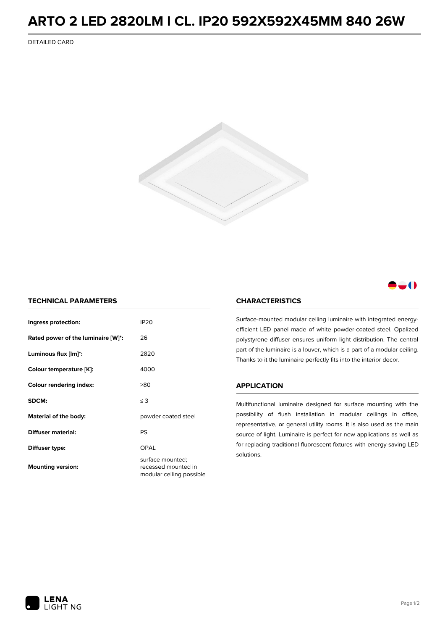## **ARTO 2 LED 2820LM I CL. IP20 592X592X45MM 840 26W**

DETAILED CARD



### -0

### **TECHNICAL PARAMETERS**

| Ingress protection:                | <b>IP20</b>                                                         |  |
|------------------------------------|---------------------------------------------------------------------|--|
| Rated power of the luminaire [W]*: | 26                                                                  |  |
| Luminous flux [lm]*:               | 2820                                                                |  |
| Colour temperature [K]:            | 4000                                                                |  |
| <b>Colour rendering index:</b>     | >80                                                                 |  |
| SDCM:                              | $\leq$ 3                                                            |  |
| Material of the body:              | powder coated steel                                                 |  |
| Diffuser material:                 | PS                                                                  |  |
| Diffuser type:                     | OPAL                                                                |  |
| <b>Mounting version:</b>           | surface mounted;<br>recessed mounted in<br>modular ceiling possible |  |

#### **CHARACTERISTICS**

Surface-mounted modular ceiling luminaire with integrated energyefficient LED panel made of white powder-coated steel. Opalized polystyrene diffuser ensures uniform light distribution. The central part of the luminaire is a louver, which is a part of a modular ceiling. Thanks to it the luminaire perfectly fits into the interior decor.

#### **APPLICATION**

Multifunctional luminaire designed for surface mounting with the possibility of flush installation in modular ceilings in office, representative, or general utility rooms. It is also used as the main source of light. Luminaire is perfect for new applications as well as for replacing traditional fluorescent fixtures with energy-saving LED solutions.